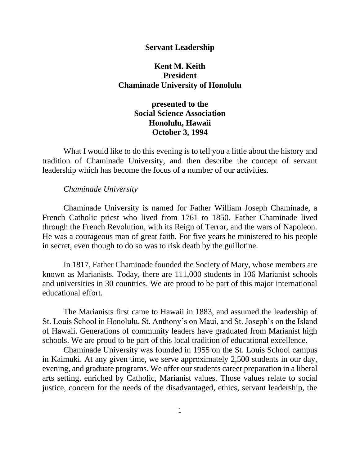## **Servant Leadership**

# **Kent M. Keith President Chaminade University of Honolulu**

# **presented to the Social Science Association Honolulu, Hawaii October 3, 1994**

What I would like to do this evening is to tell you a little about the history and tradition of Chaminade University, and then describe the concept of servant leadership which has become the focus of a number of our activities.

#### *Chaminade University*

Chaminade University is named for Father William Joseph Chaminade, a French Catholic priest who lived from 1761 to 1850. Father Chaminade lived through the French Revolution, with its Reign of Terror, and the wars of Napoleon. He was a courageous man of great faith. For five years he ministered to his people in secret, even though to do so was to risk death by the guillotine.

In 1817, Father Chaminade founded the Society of Mary, whose members are known as Marianists. Today, there are 111,000 students in 106 Marianist schools and universities in 30 countries. We are proud to be part of this major international educational effort.

The Marianists first came to Hawaii in 1883, and assumed the leadership of St. Louis School in Honolulu, St. Anthony's on Maui, and St. Joseph's on the Island of Hawaii. Generations of community leaders have graduated from Marianist high schools. We are proud to be part of this local tradition of educational excellence.

Chaminade University was founded in 1955 on the St. Louis School campus in Kaimuki. At any given time, we serve approximately 2,500 students in our day, evening, and graduate programs. We offer our students career preparation in a liberal arts setting, enriched by Catholic, Marianist values. Those values relate to social justice, concern for the needs of the disadvantaged, ethics, servant leadership, the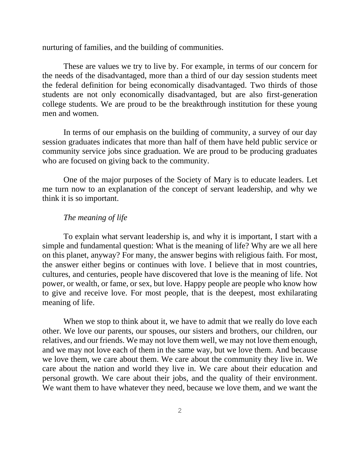nurturing of families, and the building of communities.

These are values we try to live by. For example, in terms of our concern for the needs of the disadvantaged, more than a third of our day session students meet the federal definition for being economically disadvantaged. Two thirds of those students are not only economically disadvantaged, but are also first-generation college students. We are proud to be the breakthrough institution for these young men and women.

In terms of our emphasis on the building of community, a survey of our day session graduates indicates that more than half of them have held public service or community service jobs since graduation. We are proud to be producing graduates who are focused on giving back to the community.

One of the major purposes of the Society of Mary is to educate leaders. Let me turn now to an explanation of the concept of servant leadership, and why we think it is so important.

## *The meaning of life*

To explain what servant leadership is, and why it is important, I start with a simple and fundamental question: What is the meaning of life? Why are we all here on this planet, anyway? For many, the answer begins with religious faith. For most, the answer either begins or continues with love. I believe that in most countries, cultures, and centuries, people have discovered that love is the meaning of life. Not power, or wealth, or fame, or sex, but love. Happy people are people who know how to give and receive love. For most people, that is the deepest, most exhilarating meaning of life.

When we stop to think about it, we have to admit that we really do love each other. We love our parents, our spouses, our sisters and brothers, our children, our relatives, and our friends. We may not love them well, we may not love them enough, and we may not love each of them in the same way, but we love them. And because we love them, we care about them. We care about the community they live in. We care about the nation and world they live in. We care about their education and personal growth. We care about their jobs, and the quality of their environment. We want them to have whatever they need, because we love them, and we want the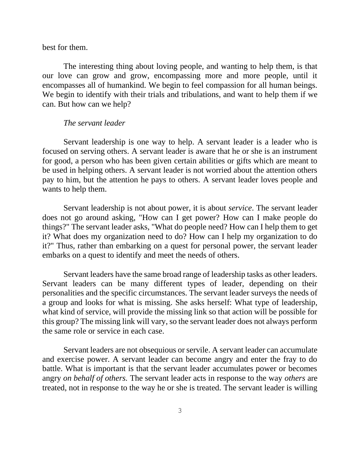best for them.

The interesting thing about loving people, and wanting to help them, is that our love can grow and grow, encompassing more and more people, until it encompasses all of humankind. We begin to feel compassion for all human beings. We begin to identify with their trials and tribulations, and want to help them if we can. But how can we help?

# *The servant leader*

Servant leadership is one way to help. A servant leader is a leader who is focused on serving others. A servant leader is aware that he or she is an instrument for good, a person who has been given certain abilities or gifts which are meant to be used in helping others. A servant leader is not worried about the attention others pay to him, but the attention he pays to others. A servant leader loves people and wants to help them.

Servant leadership is not about power, it is about *service*. The servant leader does not go around asking, "How can I get power? How can I make people do things?" The servant leader asks, "What do people need? How can I help them to get it? What does my organization need to do? How can I help my organization to do it?" Thus, rather than embarking on a quest for personal power, the servant leader embarks on a quest to identify and meet the needs of others.

Servant leaders have the same broad range of leadership tasks as other leaders. Servant leaders can be many different types of leader, depending on their personalities and the specific circumstances. The servant leader surveys the needs of a group and looks for what is missing. She asks herself: What type of leadership, what kind of service, will provide the missing link so that action will be possible for this group? The missing link will vary, so the servant leader does not always perform the same role or service in each case.

Servant leaders are not obsequious or servile. A servant leader can accumulate and exercise power. A servant leader can become angry and enter the fray to do battle. What is important is that the servant leader accumulates power or becomes angry *on behalf of others.* The servant leader acts in response to the way *others* are treated, not in response to the way he or she is treated. The servant leader is willing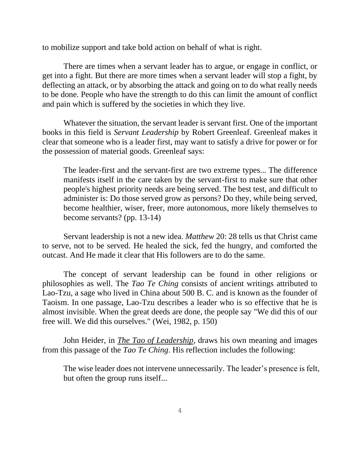to mobilize support and take bold action on behalf of what is right.

There are times when a servant leader has to argue, or engage in conflict, or get into a fight. But there are more times when a servant leader will stop a fight, by deflecting an attack, or by absorbing the attack and going on to do what really needs to be done. People who have the strength to do this can limit the amount of conflict and pain which is suffered by the societies in which they live.

Whatever the situation, the servant leader is servant first. One of the important books in this field is *Servant Leadership* by Robert Greenleaf. Greenleaf makes it clear that someone who is a leader first, may want to satisfy a drive for power or for the possession of material goods. Greenleaf says:

The leader-first and the servant-first are two extreme types... The difference manifests itself in the care taken by the servant-first to make sure that other people's highest priority needs are being served. The best test, and difficult to administer is: Do those served grow as persons? Do they, while being served, become healthier, wiser, freer, more autonomous, more likely themselves to become servants? (pp. 13-14)

Servant leadership is not a new idea. *Matthew* 20: 28 tells us that Christ came to serve, not to be served. He healed the sick, fed the hungry, and comforted the outcast. And He made it clear that His followers are to do the same.

The concept of servant leadership can be found in other religions or philosophies as well. The *Tao Te Ching* consists of ancient writings attributed to Lao-Tzu, a sage who lived in China about 500 B. C. and is known as the founder of Taoism. In one passage, Lao-Tzu describes a leader who is so effective that he is almost invisible. When the great deeds are done, the people say "We did this of our free will. We did this ourselves." (Wei, 1982, p. 150)

John Heider, in *The Tao of Leadership*, draws his own meaning and images from this passage of the *Tao Te Ching*. His reflection includes the following:

The wise leader does not intervene unnecessarily. The leader's presence is felt, but often the group runs itself...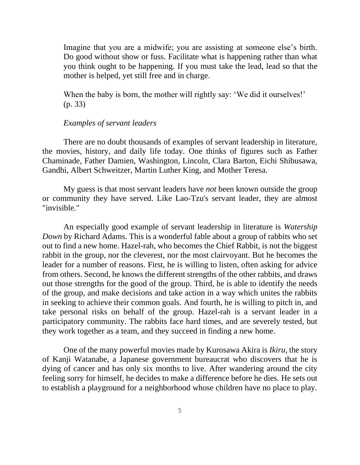Imagine that you are a midwife; you are assisting at someone else's birth. Do good without show or fuss. Facilitate what is happening rather than what you think ought to be happening. If you must take the lead, lead so that the mother is helped, yet still free and in charge.

When the baby is born, the mother will rightly say: 'We did it ourselves!' (p. 33)

# *Examples of servant leaders*

There are no doubt thousands of examples of servant leadership in literature, the movies, history, and daily life today. One thinks of figures such as Father Chaminade, Father Damien, Washington, Lincoln, Clara Barton, Eichi Shibusawa, Gandhi, Albert Schweitzer, Martin Luther King, and Mother Teresa.

My guess is that most servant leaders have *not* been known outside the group or community they have served. Like Lao-Tzu's servant leader, they are almost "invisible."

An especially good example of servant leadership in literature is *Watership Down* by Richard Adams. This is a wonderful fable about a group of rabbits who set out to find a new home. Hazel-rah, who becomes the Chief Rabbit, is not the biggest rabbit in the group, nor the cleverest, nor the most clairvoyant. But he becomes the leader for a number of reasons. First, he is willing to listen, often asking for advice from others. Second, he knows the different strengths of the other rabbits, and draws out those strengths for the good of the group. Third, he is able to identify the needs of the group, and make decisions and take action in a way which unites the rabbits in seeking to achieve their common goals. And fourth, he is willing to pitch in, and take personal risks on behalf of the group. Hazel-rah is a servant leader in a participatory community. The rabbits face hard times, and are severely tested, but they work together as a team, and they succeed in finding a new home.

One of the many powerful movies made by Kurosawa Akira is *Ikiru*, the story of Kanji Watanabe, a Japanese government bureaucrat who discovers that he is dying of cancer and has only six months to live. After wandering around the city feeling sorry for himself, he decides to make a difference before he dies. He sets out to establish a playground for a neighborhood whose children have no place to play.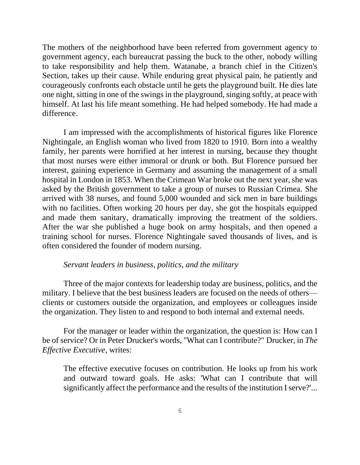The mothers of the neighborhood have been referred from government agency to government agency, each bureaucrat passing the buck to the other, nobody willing to take responsibility and help them. Watanabe, a branch chief in the Citizen's Section, takes up their cause. While enduring great physical pain, he patiently and courageously confronts each obstacle until he gets the playground built. He dies late one night, sitting in one of the swings in the playground, singing softly, at peace with himself. At last his life meant something. He had helped somebody. He had made a difference.

I am impressed with the accomplishments of historical figures like Florence Nightingale, an English woman who lived from 1820 to 1910. Born into a wealthy family, her parents were horrified at her interest in nursing, because they thought that most nurses were either immoral or drunk or both. But Florence pursued her interest, gaining experience in Germany and assuming the management of a small hospital in London in 1853. When the Crimean War broke out the next year, she was asked by the British government to take a group of nurses to Russian Crimea. She arrived with 38 nurses, and found 5,000 wounded and sick men in bare buildings with no facilities. Often working 20 hours per day, she got the hospitals equipped and made them sanitary, dramatically improving the treatment of the soldiers. After the war she published a huge book on army hospitals, and then opened a training school for nurses. Florence Nightingale saved thousands of lives, and is often considered the founder of modern nursing.

# *Servant leaders in business, politics, and the military*

Three of the major contexts for leadership today are business, politics, and the military. I believe that the best business leaders are focused on the needs of others clients or customers outside the organization, and employees or colleagues inside the organization. They listen to and respond to both internal and external needs.

For the manager or leader within the organization, the question is: How can I be of service? Or in Peter Drucker's words, "What can I contribute?" Drucker, in *The Effective Executive,* writes:

The effective executive focuses on contribution. He looks up from his work and outward toward goals. He asks: 'What can I contribute that will significantly affect the performance and the results of the institution I serve?'...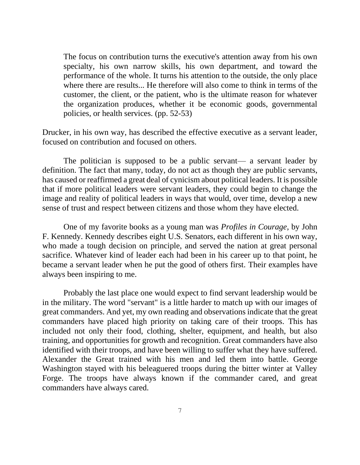The focus on contribution turns the executive's attention away from his own specialty, his own narrow skills, his own department, and toward the performance of the whole. It turns his attention to the outside, the only place where there are results... He therefore will also come to think in terms of the customer, the client, or the patient, who is the ultimate reason for whatever the organization produces, whether it be economic goods, governmental policies, or health services. (pp. 52-53)

Drucker, in his own way, has described the effective executive as a servant leader, focused on contribution and focused on others.

The politician is supposed to be a public servant— a servant leader by definition. The fact that many, today, do not act as though they are public servants, has caused or reaffirmed a great deal of cynicism about political leaders. It is possible that if more political leaders were servant leaders, they could begin to change the image and reality of political leaders in ways that would, over time, develop a new sense of trust and respect between citizens and those whom they have elected.

One of my favorite books as a young man was *Profiles in Courage*, by John F. Kennedy. Kennedy describes eight U.S. Senators, each different in his own way, who made a tough decision on principle, and served the nation at great personal sacrifice. Whatever kind of leader each had been in his career up to that point, he became a servant leader when he put the good of others first. Their examples have always been inspiring to me.

Probably the last place one would expect to find servant leadership would be in the military. The word "servant" is a little harder to match up with our images of great commanders. And yet, my own reading and observations indicate that the great commanders have placed high priority on taking care of their troops. This has included not only their food, clothing, shelter, equipment, and health, but also training, and opportunities for growth and recognition. Great commanders have also identified with their troops, and have been willing to suffer what they have suffered. Alexander the Great trained with his men and led them into battle. George Washington stayed with his beleaguered troops during the bitter winter at Valley Forge. The troops have always known if the commander cared, and great commanders have always cared.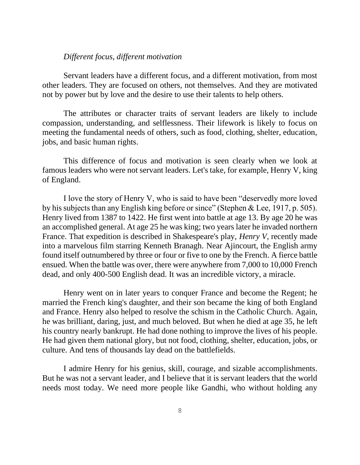# *Different focus, different motivation*

Servant leaders have a different focus, and a different motivation, from most other leaders. They are focused on others, not themselves. And they are motivated not by power but by love and the desire to use their talents to help others.

The attributes or character traits of servant leaders are likely to include compassion, understanding, and selflessness. Their lifework is likely to focus on meeting the fundamental needs of others, such as food, clothing, shelter, education, jobs, and basic human rights.

This difference of focus and motivation is seen clearly when we look at famous leaders who were not servant leaders. Let's take, for example, Henry V, king of England.

I love the story of Henry V, who is said to have been "deservedly more loved by his subjects than any English king before or since" (Stephen & Lee, 1917, p. 505). Henry lived from 1387 to 1422. He first went into battle at age 13. By age 20 he was an accomplished general. At age 25 he was king; two years later he invaded northern France. That expedition is described in Shakespeare's play, *Henry V*, recently made into a marvelous film starring Kenneth Branagh. Near Ajincourt, the English army found itself outnumbered by three or four or five to one by the French. A fierce battle ensued. When the battle was over, there were anywhere from 7,000 to 10,000 French dead, and only 400-500 English dead. It was an incredible victory, a miracle.

Henry went on in later years to conquer France and become the Regent; he married the French king's daughter, and their son became the king of both England and France. Henry also helped to resolve the schism in the Catholic Church. Again, he was brilliant, daring, just, and much beloved. But when he died at age 35, he left his country nearly bankrupt. He had done nothing to improve the lives of his people. He had given them national glory, but not food, clothing, shelter, education, jobs, or culture. And tens of thousands lay dead on the battlefields.

I admire Henry for his genius, skill, courage, and sizable accomplishments. But he was not a servant leader, and I believe that it is servant leaders that the world needs most today. We need more people like Gandhi, who without holding any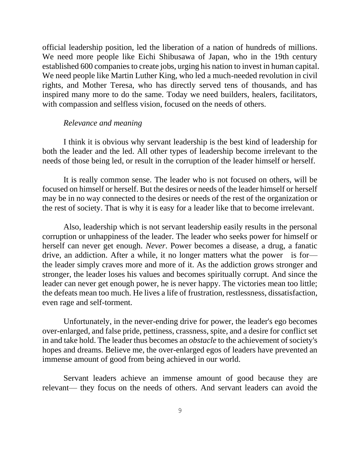official leadership position, led the liberation of a nation of hundreds of millions. We need more people like Eichi Shibusawa of Japan, who in the 19th century established 600 companies to create jobs, urging his nation to invest in human capital. We need people like Martin Luther King, who led a much-needed revolution in civil rights, and Mother Teresa, who has directly served tens of thousands, and has inspired many more to do the same. Today we need builders, healers, facilitators, with compassion and selfless vision, focused on the needs of others.

## *Relevance and meaning*

I think it is obvious why servant leadership is the best kind of leadership for both the leader and the led. All other types of leadership become irrelevant to the needs of those being led, or result in the corruption of the leader himself or herself.

It is really common sense. The leader who is not focused on others, will be focused on himself or herself. But the desires or needs of the leader himself or herself may be in no way connected to the desires or needs of the rest of the organization or the rest of society. That is why it is easy for a leader like that to become irrelevant.

Also, leadership which is not servant leadership easily results in the personal corruption or unhappiness of the leader. The leader who seeks power for himself or herself can never get enough. *Never*. Power becomes a disease, a drug, a fanatic drive, an addiction. After a while, it no longer matters what the power is for the leader simply craves more and more of it. As the addiction grows stronger and stronger, the leader loses his values and becomes spiritually corrupt. And since the leader can never get enough power, he is never happy. The victories mean too little; the defeats mean too much. He lives a life of frustration, restlessness, dissatisfaction, even rage and self-torment.

Unfortunately, in the never-ending drive for power, the leader's ego becomes over-enlarged, and false pride, pettiness, crassness, spite, and a desire for conflict set in and take hold. The leader thus becomes an *obstacle* to the achievement of society's hopes and dreams. Believe me, the over-enlarged egos of leaders have prevented an immense amount of good from being achieved in our world.

Servant leaders achieve an immense amount of good because they are relevant— they focus on the needs of others. And servant leaders can avoid the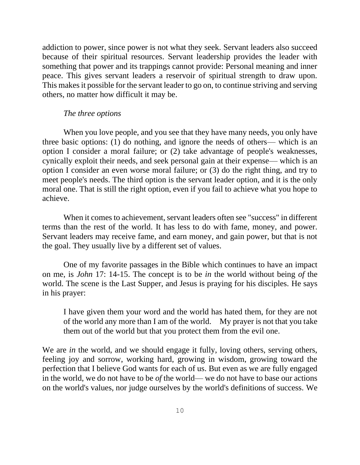addiction to power, since power is not what they seek. Servant leaders also succeed because of their spiritual resources. Servant leadership provides the leader with something that power and its trappings cannot provide: Personal meaning and inner peace. This gives servant leaders a reservoir of spiritual strength to draw upon. This makes it possible for the servant leader to go on, to continue striving and serving others, no matter how difficult it may be.

# *The three options*

When you love people, and you see that they have many needs, you only have three basic options: (1) do nothing, and ignore the needs of others— which is an option I consider a moral failure; or (2) take advantage of people's weaknesses, cynically exploit their needs, and seek personal gain at their expense— which is an option I consider an even worse moral failure; or (3) do the right thing, and try to meet people's needs. The third option is the servant leader option, and it is the only moral one. That is still the right option, even if you fail to achieve what you hope to achieve.

When it comes to achievement, servant leaders often see "success" in different terms than the rest of the world. It has less to do with fame, money, and power. Servant leaders may receive fame, and earn money, and gain power, but that is not the goal. They usually live by a different set of values.

One of my favorite passages in the Bible which continues to have an impact on me, is *John* 17: 14-15. The concept is to be *in* the world without being *of* the world. The scene is the Last Supper, and Jesus is praying for his disciples. He says in his prayer:

I have given them your word and the world has hated them, for they are not of the world any more than I am of the world. My prayer is not that you take them out of the world but that you protect them from the evil one.

We are *in* the world, and we should engage it fully, loving others, serving others, feeling joy and sorrow, working hard, growing in wisdom, growing toward the perfection that I believe God wants for each of us. But even as we are fully engaged in the world, we do not have to be *of* the world— we do not have to base our actions on the world's values, nor judge ourselves by the world's definitions of success. We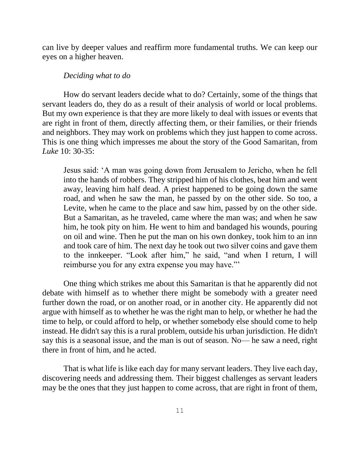can live by deeper values and reaffirm more fundamental truths. We can keep our eyes on a higher heaven.

#### *Deciding what to do*

How do servant leaders decide what to do? Certainly, some of the things that servant leaders do, they do as a result of their analysis of world or local problems. But my own experience is that they are more likely to deal with issues or events that are right in front of them, directly affecting them, or their families, or their friends and neighbors. They may work on problems which they just happen to come across. This is one thing which impresses me about the story of the Good Samaritan, from *Luke* 10: 30-35:

Jesus said: 'A man was going down from Jerusalem to Jericho, when he fell into the hands of robbers. They stripped him of his clothes, beat him and went away, leaving him half dead. A priest happened to be going down the same road, and when he saw the man, he passed by on the other side. So too, a Levite, when he came to the place and saw him, passed by on the other side. But a Samaritan, as he traveled, came where the man was; and when he saw him, he took pity on him. He went to him and bandaged his wounds, pouring on oil and wine. Then he put the man on his own donkey, took him to an inn and took care of him. The next day he took out two silver coins and gave them to the innkeeper. "Look after him," he said, "and when I return, I will reimburse you for any extra expense you may have."'

One thing which strikes me about this Samaritan is that he apparently did not debate with himself as to whether there might be somebody with a greater need further down the road, or on another road, or in another city. He apparently did not argue with himself as to whether he was the right man to help, or whether he had the time to help, or could afford to help, or whether somebody else should come to help instead. He didn't say this is a rural problem, outside his urban jurisdiction. He didn't say this is a seasonal issue, and the man is out of season. No— he saw a need, right there in front of him, and he acted.

That is what life is like each day for many servant leaders. They live each day, discovering needs and addressing them. Their biggest challenges as servant leaders may be the ones that they just happen to come across, that are right in front of them,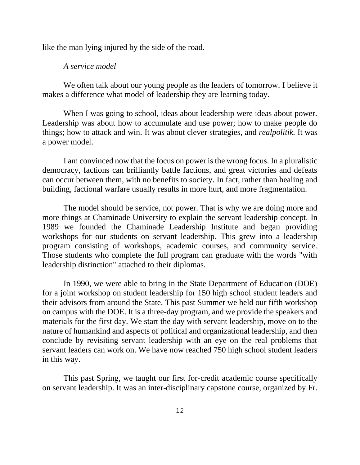like the man lying injured by the side of the road.

## *A service model*

We often talk about our young people as the leaders of tomorrow. I believe it makes a difference what model of leadership they are learning today.

When I was going to school, ideas about leadership were ideas about power. Leadership was about how to accumulate and use power; how to make people do things; how to attack and win. It was about clever strategies, and *realpolitik.* It was a power model.

I am convinced now that the focus on power is the wrong focus. In a pluralistic democracy, factions can brilliantly battle factions, and great victories and defeats can occur between them, with no benefits to society. In fact, rather than healing and building, factional warfare usually results in more hurt, and more fragmentation.

The model should be service, not power. That is why we are doing more and more things at Chaminade University to explain the servant leadership concept. In 1989 we founded the Chaminade Leadership Institute and began providing workshops for our students on servant leadership. This grew into a leadership program consisting of workshops, academic courses, and community service. Those students who complete the full program can graduate with the words "with leadership distinction" attached to their diplomas.

In 1990, we were able to bring in the State Department of Education (DOE) for a joint workshop on student leadership for 150 high school student leaders and their advisors from around the State. This past Summer we held our fifth workshop on campus with the DOE. It is a three-day program, and we provide the speakers and materials for the first day. We start the day with servant leadership, move on to the nature of humankind and aspects of political and organizational leadership, and then conclude by revisiting servant leadership with an eye on the real problems that servant leaders can work on. We have now reached 750 high school student leaders in this way.

This past Spring, we taught our first for-credit academic course specifically on servant leadership. It was an inter-disciplinary capstone course, organized by Fr.